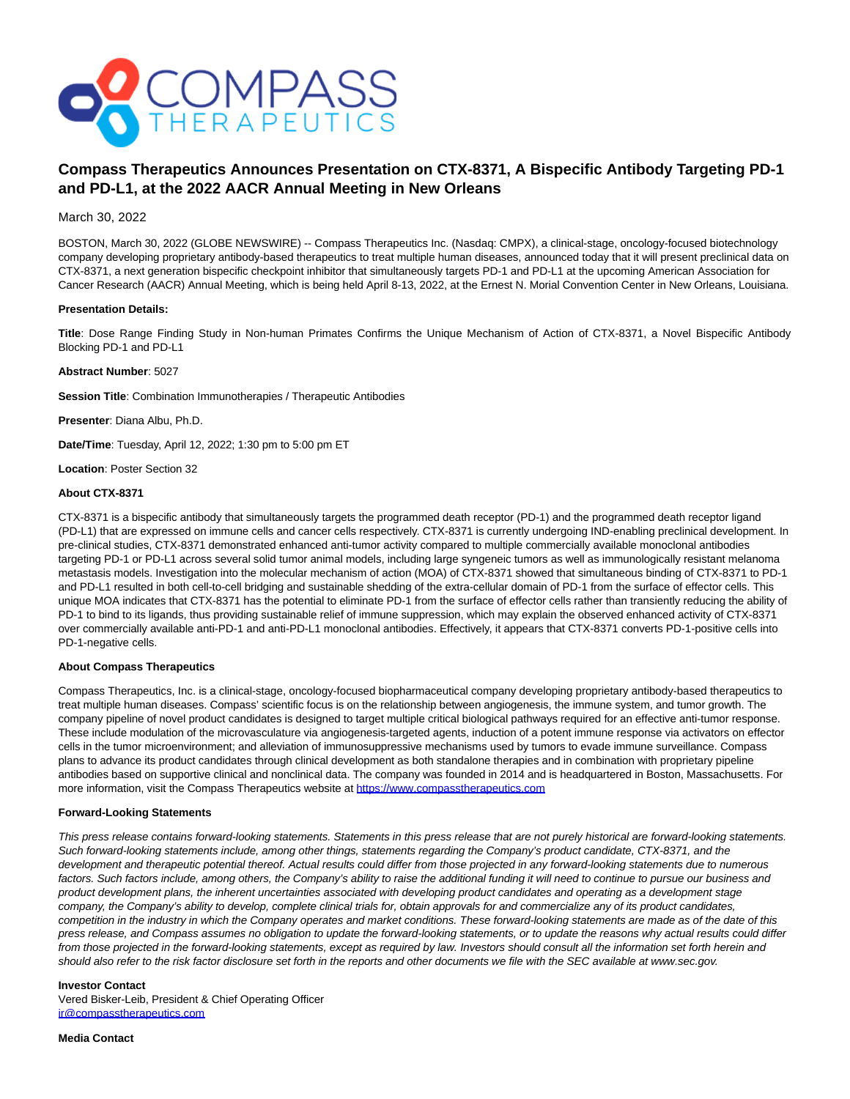

# **Compass Therapeutics Announces Presentation on CTX-8371, A Bispecific Antibody Targeting PD-1 and PD-L1, at the 2022 AACR Annual Meeting in New Orleans**

## March 30, 2022

BOSTON, March 30, 2022 (GLOBE NEWSWIRE) -- Compass Therapeutics Inc. (Nasdaq: CMPX), a clinical-stage, oncology-focused biotechnology company developing proprietary antibody-based therapeutics to treat multiple human diseases, announced today that it will present preclinical data on CTX-8371, a next generation bispecific checkpoint inhibitor that simultaneously targets PD-1 and PD-L1 at the upcoming American Association for Cancer Research (AACR) Annual Meeting, which is being held April 8-13, 2022, at the Ernest N. Morial Convention Center in New Orleans, Louisiana.

## **Presentation Details:**

**Title**: Dose Range Finding Study in Non-human Primates Confirms the Unique Mechanism of Action of CTX-8371, a Novel Bispecific Antibody Blocking PD-1 and PD-L1

## **Abstract Number**: 5027

**Session Title**: Combination Immunotherapies / Therapeutic Antibodies

**Presenter**: Diana Albu, Ph.D.

**Date/Time**: Tuesday, April 12, 2022; 1:30 pm to 5:00 pm ET

**Location**: Poster Section 32

## **About CTX-8371**

CTX-8371 is a bispecific antibody that simultaneously targets the programmed death receptor (PD-1) and the programmed death receptor ligand (PD-L1) that are expressed on immune cells and cancer cells respectively. CTX-8371 is currently undergoing IND-enabling preclinical development. In pre-clinical studies, CTX-8371 demonstrated enhanced anti-tumor activity compared to multiple commercially available monoclonal antibodies targeting PD-1 or PD-L1 across several solid tumor animal models, including large syngeneic tumors as well as immunologically resistant melanoma metastasis models. Investigation into the molecular mechanism of action (MOA) of CTX-8371 showed that simultaneous binding of CTX-8371 to PD-1 and PD-L1 resulted in both cell-to-cell bridging and sustainable shedding of the extra-cellular domain of PD-1 from the surface of effector cells. This unique MOA indicates that CTX-8371 has the potential to eliminate PD-1 from the surface of effector cells rather than transiently reducing the ability of PD-1 to bind to its ligands, thus providing sustainable relief of immune suppression, which may explain the observed enhanced activity of CTX-8371 over commercially available anti-PD-1 and anti-PD-L1 monoclonal antibodies. Effectively, it appears that CTX-8371 converts PD-1-positive cells into PD-1-negative cells.

#### **About Compass Therapeutics**

Compass Therapeutics, Inc. is a clinical-stage, oncology-focused biopharmaceutical company developing proprietary antibody-based therapeutics to treat multiple human diseases. Compass' scientific focus is on the relationship between angiogenesis, the immune system, and tumor growth. The company pipeline of novel product candidates is designed to target multiple critical biological pathways required for an effective anti-tumor response. These include modulation of the microvasculature via angiogenesis-targeted agents, induction of a potent immune response via activators on effector cells in the tumor microenvironment; and alleviation of immunosuppressive mechanisms used by tumors to evade immune surveillance. Compass plans to advance its product candidates through clinical development as both standalone therapies and in combination with proprietary pipeline antibodies based on supportive clinical and nonclinical data. The company was founded in 2014 and is headquartered in Boston, Massachusetts. For more information, visit the Compass Therapeutics website at [https://www.compasstherapeutics.com](https://www.globenewswire.com/Tracker?data=5MZVrsoWRs_Br18Q9MvEBX-iSf6cA9ZouNOGrtVeTZvyaRA1GBM87FcTrCMMSmxPxnebk62fblgZUTUbWmQevjdkUlSO_2ajziogWPVM3maEe5o8ApN87Q4pu_Da34_g)

#### **Forward-Looking Statements**

This press release contains forward-looking statements. Statements in this press release that are not purely historical are forward-looking statements. Such forward-looking statements include, among other things, statements regarding the Company's product candidate, CTX-8371, and the development and therapeutic potential thereof. Actual results could differ from those projected in any forward-looking statements due to numerous factors. Such factors include, among others, the Company's ability to raise the additional funding it will need to continue to pursue our business and product development plans, the inherent uncertainties associated with developing product candidates and operating as a development stage company, the Company's ability to develop, complete clinical trials for, obtain approvals for and commercialize any of its product candidates, competition in the industry in which the Company operates and market conditions. These forward-looking statements are made as of the date of this press release, and Compass assumes no obligation to update the forward-looking statements, or to update the reasons why actual results could differ from those projected in the forward-looking statements, except as required by law. Investors should consult all the information set forth herein and should also refer to the risk factor disclosure set forth in the reports and other documents we file with the SEC available at www.sec.gov.

#### **Investor Contact**

Vered Bisker-Leib, President & Chief Operating Officer [ir@compasstherapeutics.com](https://www.globenewswire.com/Tracker?data=FE-20fofUnk7VinXHm7nM8BbbmbYruy1ZTZgF_DE5tXvoEKuLIal5aVJg2mWTDDPwhMWSqGisy0V2NwmdwFOqaKXOsret2OToOzEXOvAI2sbwlH4U2cZGIFZdxTBmlFW)

**Media Contact**